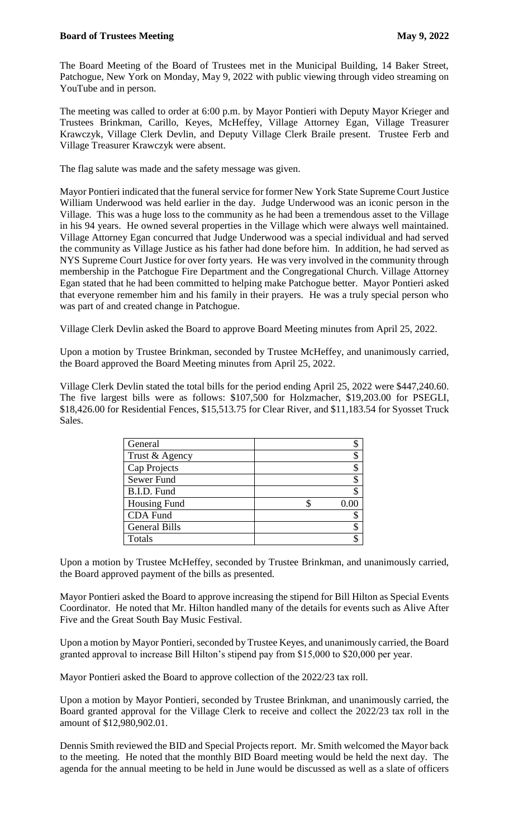The Board Meeting of the Board of Trustees met in the Municipal Building, 14 Baker Street, Patchogue, New York on Monday, May 9, 2022 with public viewing through video streaming on YouTube and in person.

The meeting was called to order at 6:00 p.m. by Mayor Pontieri with Deputy Mayor Krieger and Trustees Brinkman, Carillo, Keyes, McHeffey, Village Attorney Egan, Village Treasurer Krawczyk, Village Clerk Devlin, and Deputy Village Clerk Braile present. Trustee Ferb and Village Treasurer Krawczyk were absent.

The flag salute was made and the safety message was given.

Mayor Pontieri indicated that the funeral service for former New York State Supreme Court Justice William Underwood was held earlier in the day. Judge Underwood was an iconic person in the Village. This was a huge loss to the community as he had been a tremendous asset to the Village in his 94 years. He owned several properties in the Village which were always well maintained. Village Attorney Egan concurred that Judge Underwood was a special individual and had served the community as Village Justice as his father had done before him. In addition, he had served as NYS Supreme Court Justice for over forty years. He was very involved in the community through membership in the Patchogue Fire Department and the Congregational Church. Village Attorney Egan stated that he had been committed to helping make Patchogue better. Mayor Pontieri asked that everyone remember him and his family in their prayers. He was a truly special person who was part of and created change in Patchogue.

Village Clerk Devlin asked the Board to approve Board Meeting minutes from April 25, 2022.

Upon a motion by Trustee Brinkman, seconded by Trustee McHeffey, and unanimously carried, the Board approved the Board Meeting minutes from April 25, 2022.

Village Clerk Devlin stated the total bills for the period ending April 25, 2022 were \$447,240.60. The five largest bills were as follows: \$107,500 for Holzmacher, \$19,203.00 for PSEGLI, \$18,426.00 for Residential Fences, \$15,513.75 for Clear River, and \$11,183.54 for Syosset Truck Sales.

| General              | \$   |
|----------------------|------|
| Trust & Agency       | \$   |
| <b>Cap Projects</b>  | \$   |
| Sewer Fund           | \$   |
| B.I.D. Fund          | \$   |
| <b>Housing Fund</b>  | 0.00 |
| <b>CDA</b> Fund      | \$   |
| <b>General Bills</b> | \$   |
| Totals               | \$   |

Upon a motion by Trustee McHeffey, seconded by Trustee Brinkman, and unanimously carried, the Board approved payment of the bills as presented.

Mayor Pontieri asked the Board to approve increasing the stipend for Bill Hilton as Special Events Coordinator. He noted that Mr. Hilton handled many of the details for events such as Alive After Five and the Great South Bay Music Festival.

Upon a motion by Mayor Pontieri, seconded by Trustee Keyes, and unanimously carried, the Board granted approval to increase Bill Hilton's stipend pay from \$15,000 to \$20,000 per year.

Mayor Pontieri asked the Board to approve collection of the 2022/23 tax roll.

Upon a motion by Mayor Pontieri, seconded by Trustee Brinkman, and unanimously carried, the Board granted approval for the Village Clerk to receive and collect the 2022/23 tax roll in the amount of \$12,980,902.01.

Dennis Smith reviewed the BID and Special Projects report. Mr. Smith welcomed the Mayor back to the meeting. He noted that the monthly BID Board meeting would be held the next day. The agenda for the annual meeting to be held in June would be discussed as well as a slate of officers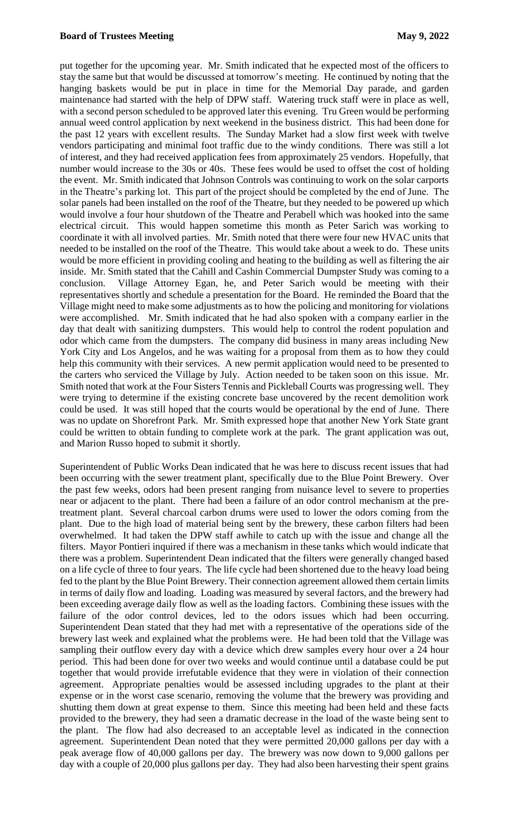put together for the upcoming year. Mr. Smith indicated that he expected most of the officers to stay the same but that would be discussed at tomorrow's meeting. He continued by noting that the hanging baskets would be put in place in time for the Memorial Day parade, and garden maintenance had started with the help of DPW staff. Watering truck staff were in place as well, with a second person scheduled to be approved later this evening. Tru Green would be performing annual weed control application by next weekend in the business district. This had been done for the past 12 years with excellent results. The Sunday Market had a slow first week with twelve vendors participating and minimal foot traffic due to the windy conditions. There was still a lot of interest, and they had received application fees from approximately 25 vendors. Hopefully, that number would increase to the 30s or 40s. These fees would be used to offset the cost of holding the event. Mr. Smith indicated that Johnson Controls was continuing to work on the solar carports in the Theatre's parking lot. This part of the project should be completed by the end of June. The solar panels had been installed on the roof of the Theatre, but they needed to be powered up which would involve a four hour shutdown of the Theatre and Perabell which was hooked into the same electrical circuit. This would happen sometime this month as Peter Sarich was working to coordinate it with all involved parties. Mr. Smith noted that there were four new HVAC units that needed to be installed on the roof of the Theatre. This would take about a week to do. These units would be more efficient in providing cooling and heating to the building as well as filtering the air inside. Mr. Smith stated that the Cahill and Cashin Commercial Dumpster Study was coming to a conclusion. Village Attorney Egan, he, and Peter Sarich would be meeting with their representatives shortly and schedule a presentation for the Board. He reminded the Board that the Village might need to make some adjustments as to how the policing and monitoring for violations were accomplished. Mr. Smith indicated that he had also spoken with a company earlier in the day that dealt with sanitizing dumpsters. This would help to control the rodent population and odor which came from the dumpsters. The company did business in many areas including New York City and Los Angelos, and he was waiting for a proposal from them as to how they could help this community with their services. A new permit application would need to be presented to the carters who serviced the Village by July. Action needed to be taken soon on this issue. Mr. Smith noted that work at the Four Sisters Tennis and Pickleball Courts was progressing well. They were trying to determine if the existing concrete base uncovered by the recent demolition work could be used. It was still hoped that the courts would be operational by the end of June. There was no update on Shorefront Park. Mr. Smith expressed hope that another New York State grant could be written to obtain funding to complete work at the park. The grant application was out, and Marion Russo hoped to submit it shortly.

Superintendent of Public Works Dean indicated that he was here to discuss recent issues that had been occurring with the sewer treatment plant, specifically due to the Blue Point Brewery. Over the past few weeks, odors had been present ranging from nuisance level to severe to properties near or adjacent to the plant. There had been a failure of an odor control mechanism at the pretreatment plant. Several charcoal carbon drums were used to lower the odors coming from the plant. Due to the high load of material being sent by the brewery, these carbon filters had been overwhelmed. It had taken the DPW staff awhile to catch up with the issue and change all the filters. Mayor Pontieri inquired if there was a mechanism in these tanks which would indicate that there was a problem. Superintendent Dean indicated that the filters were generally changed based on a life cycle of three to four years. The life cycle had been shortened due to the heavy load being fed to the plant by the Blue Point Brewery. Their connection agreement allowed them certain limits in terms of daily flow and loading. Loading was measured by several factors, and the brewery had been exceeding average daily flow as well as the loading factors. Combining these issues with the failure of the odor control devices, led to the odors issues which had been occurring. Superintendent Dean stated that they had met with a representative of the operations side of the brewery last week and explained what the problems were. He had been told that the Village was sampling their outflow every day with a device which drew samples every hour over a 24 hour period. This had been done for over two weeks and would continue until a database could be put together that would provide irrefutable evidence that they were in violation of their connection agreement. Appropriate penalties would be assessed including upgrades to the plant at their expense or in the worst case scenario, removing the volume that the brewery was providing and shutting them down at great expense to them. Since this meeting had been held and these facts provided to the brewery, they had seen a dramatic decrease in the load of the waste being sent to the plant. The flow had also decreased to an acceptable level as indicated in the connection agreement. Superintendent Dean noted that they were permitted 20,000 gallons per day with a peak average flow of 40,000 gallons per day. The brewery was now down to 9,000 gallons per day with a couple of 20,000 plus gallons per day. They had also been harvesting their spent grains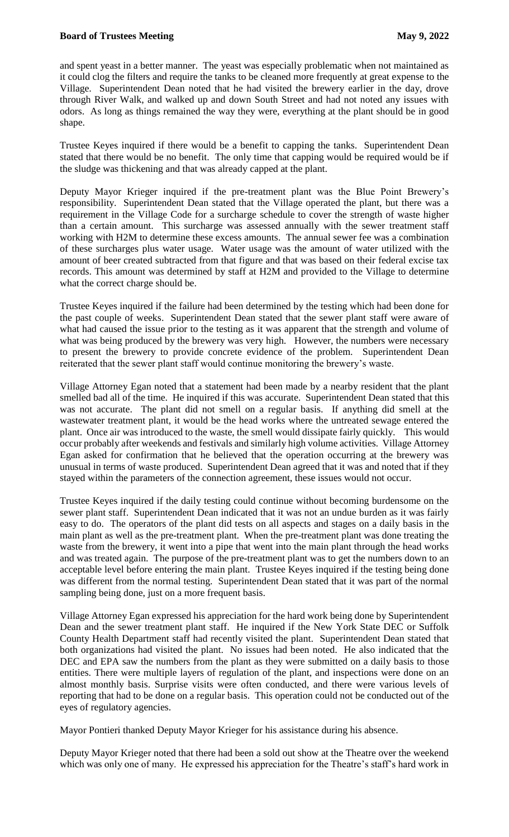and spent yeast in a better manner. The yeast was especially problematic when not maintained as it could clog the filters and require the tanks to be cleaned more frequently at great expense to the Village. Superintendent Dean noted that he had visited the brewery earlier in the day, drove through River Walk, and walked up and down South Street and had not noted any issues with odors. As long as things remained the way they were, everything at the plant should be in good shape.

Trustee Keyes inquired if there would be a benefit to capping the tanks. Superintendent Dean stated that there would be no benefit. The only time that capping would be required would be if the sludge was thickening and that was already capped at the plant.

Deputy Mayor Krieger inquired if the pre-treatment plant was the Blue Point Brewery's responsibility. Superintendent Dean stated that the Village operated the plant, but there was a requirement in the Village Code for a surcharge schedule to cover the strength of waste higher than a certain amount. This surcharge was assessed annually with the sewer treatment staff working with H2M to determine these excess amounts. The annual sewer fee was a combination of these surcharges plus water usage. Water usage was the amount of water utilized with the amount of beer created subtracted from that figure and that was based on their federal excise tax records. This amount was determined by staff at H2M and provided to the Village to determine what the correct charge should be.

Trustee Keyes inquired if the failure had been determined by the testing which had been done for the past couple of weeks. Superintendent Dean stated that the sewer plant staff were aware of what had caused the issue prior to the testing as it was apparent that the strength and volume of what was being produced by the brewery was very high. However, the numbers were necessary to present the brewery to provide concrete evidence of the problem. Superintendent Dean reiterated that the sewer plant staff would continue monitoring the brewery's waste.

Village Attorney Egan noted that a statement had been made by a nearby resident that the plant smelled bad all of the time. He inquired if this was accurate. Superintendent Dean stated that this was not accurate. The plant did not smell on a regular basis. If anything did smell at the wastewater treatment plant, it would be the head works where the untreated sewage entered the plant. Once air was introduced to the waste, the smell would dissipate fairly quickly. This would occur probably after weekends and festivals and similarly high volume activities. Village Attorney Egan asked for confirmation that he believed that the operation occurring at the brewery was unusual in terms of waste produced. Superintendent Dean agreed that it was and noted that if they stayed within the parameters of the connection agreement, these issues would not occur.

Trustee Keyes inquired if the daily testing could continue without becoming burdensome on the sewer plant staff. Superintendent Dean indicated that it was not an undue burden as it was fairly easy to do. The operators of the plant did tests on all aspects and stages on a daily basis in the main plant as well as the pre-treatment plant. When the pre-treatment plant was done treating the waste from the brewery, it went into a pipe that went into the main plant through the head works and was treated again. The purpose of the pre-treatment plant was to get the numbers down to an acceptable level before entering the main plant. Trustee Keyes inquired if the testing being done was different from the normal testing. Superintendent Dean stated that it was part of the normal sampling being done, just on a more frequent basis.

Village Attorney Egan expressed his appreciation for the hard work being done by Superintendent Dean and the sewer treatment plant staff. He inquired if the New York State DEC or Suffolk County Health Department staff had recently visited the plant. Superintendent Dean stated that both organizations had visited the plant. No issues had been noted. He also indicated that the DEC and EPA saw the numbers from the plant as they were submitted on a daily basis to those entities. There were multiple layers of regulation of the plant, and inspections were done on an almost monthly basis. Surprise visits were often conducted, and there were various levels of reporting that had to be done on a regular basis. This operation could not be conducted out of the eyes of regulatory agencies.

Mayor Pontieri thanked Deputy Mayor Krieger for his assistance during his absence.

Deputy Mayor Krieger noted that there had been a sold out show at the Theatre over the weekend which was only one of many. He expressed his appreciation for the Theatre's staff's hard work in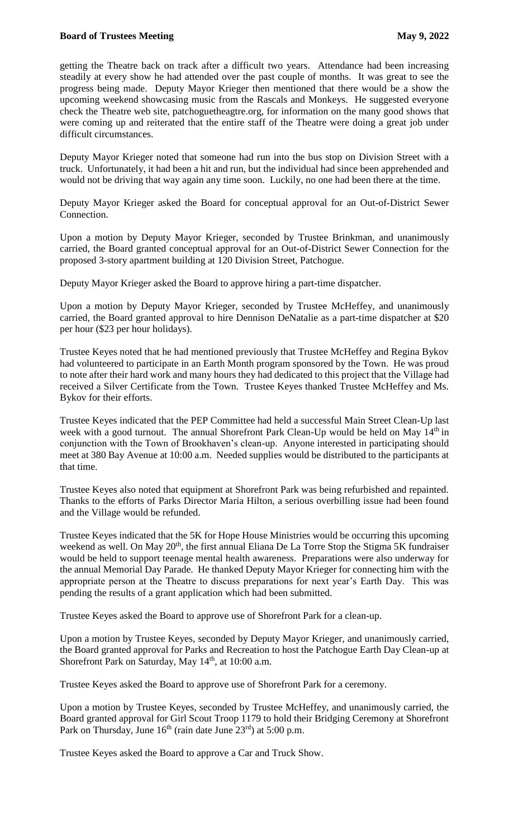## **Board of Trustees Meeting**  May 9, 2022

getting the Theatre back on track after a difficult two years. Attendance had been increasing steadily at every show he had attended over the past couple of months. It was great to see the progress being made. Deputy Mayor Krieger then mentioned that there would be a show the upcoming weekend showcasing music from the Rascals and Monkeys. He suggested everyone check the Theatre web site, patchoguetheagtre.org, for information on the many good shows that were coming up and reiterated that the entire staff of the Theatre were doing a great job under difficult circumstances.

Deputy Mayor Krieger noted that someone had run into the bus stop on Division Street with a truck. Unfortunately, it had been a hit and run, but the individual had since been apprehended and would not be driving that way again any time soon. Luckily, no one had been there at the time.

Deputy Mayor Krieger asked the Board for conceptual approval for an Out-of-District Sewer Connection.

Upon a motion by Deputy Mayor Krieger, seconded by Trustee Brinkman, and unanimously carried, the Board granted conceptual approval for an Out-of-District Sewer Connection for the proposed 3-story apartment building at 120 Division Street, Patchogue.

Deputy Mayor Krieger asked the Board to approve hiring a part-time dispatcher.

Upon a motion by Deputy Mayor Krieger, seconded by Trustee McHeffey, and unanimously carried, the Board granted approval to hire Dennison DeNatalie as a part-time dispatcher at \$20 per hour (\$23 per hour holidays).

Trustee Keyes noted that he had mentioned previously that Trustee McHeffey and Regina Bykov had volunteered to participate in an Earth Month program sponsored by the Town. He was proud to note after their hard work and many hours they had dedicated to this project that the Village had received a Silver Certificate from the Town. Trustee Keyes thanked Trustee McHeffey and Ms. Bykov for their efforts.

Trustee Keyes indicated that the PEP Committee had held a successful Main Street Clean-Up last week with a good turnout. The annual Shorefront Park Clean-Up would be held on May 14<sup>th</sup> in conjunction with the Town of Brookhaven's clean-up. Anyone interested in participating should meet at 380 Bay Avenue at 10:00 a.m. Needed supplies would be distributed to the participants at that time.

Trustee Keyes also noted that equipment at Shorefront Park was being refurbished and repainted. Thanks to the efforts of Parks Director Maria Hilton, a serious overbilling issue had been found and the Village would be refunded.

Trustee Keyes indicated that the 5K for Hope House Ministries would be occurring this upcoming weekend as well. On May 20<sup>th</sup>, the first annual Eliana De La Torre Stop the Stigma 5K fundraiser would be held to support teenage mental health awareness. Preparations were also underway for the annual Memorial Day Parade. He thanked Deputy Mayor Krieger for connecting him with the appropriate person at the Theatre to discuss preparations for next year's Earth Day. This was pending the results of a grant application which had been submitted.

Trustee Keyes asked the Board to approve use of Shorefront Park for a clean-up.

Upon a motion by Trustee Keyes, seconded by Deputy Mayor Krieger, and unanimously carried, the Board granted approval for Parks and Recreation to host the Patchogue Earth Day Clean-up at Shorefront Park on Saturday, May  $14<sup>th</sup>$ , at  $10:00$  a.m.

Trustee Keyes asked the Board to approve use of Shorefront Park for a ceremony.

Upon a motion by Trustee Keyes, seconded by Trustee McHeffey, and unanimously carried, the Board granted approval for Girl Scout Troop 1179 to hold their Bridging Ceremony at Shorefront Park on Thursday, June  $16<sup>th</sup>$  (rain date June  $23<sup>rd</sup>$ ) at 5:00 p.m.

Trustee Keyes asked the Board to approve a Car and Truck Show.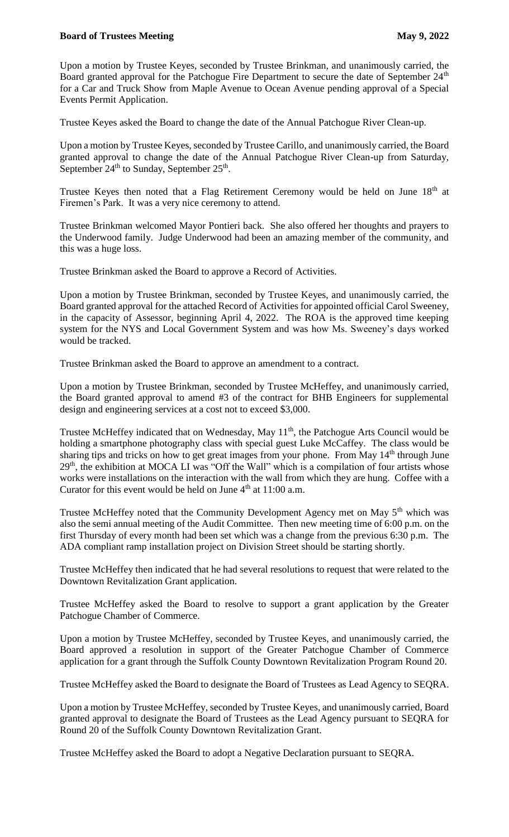## **Board of Trustees Meeting**  May 9, 2022

Upon a motion by Trustee Keyes, seconded by Trustee Brinkman, and unanimously carried, the Board granted approval for the Patchogue Fire Department to secure the date of September 24<sup>th</sup> for a Car and Truck Show from Maple Avenue to Ocean Avenue pending approval of a Special Events Permit Application.

Trustee Keyes asked the Board to change the date of the Annual Patchogue River Clean-up.

Upon a motion by Trustee Keyes, seconded by Trustee Carillo, and unanimously carried, the Board granted approval to change the date of the Annual Patchogue River Clean-up from Saturday, September  $24<sup>th</sup>$  to Sunday, September  $25<sup>th</sup>$ .

Trustee Keyes then noted that a Flag Retirement Ceremony would be held on June 18<sup>th</sup> at Firemen's Park. It was a very nice ceremony to attend.

Trustee Brinkman welcomed Mayor Pontieri back. She also offered her thoughts and prayers to the Underwood family. Judge Underwood had been an amazing member of the community, and this was a huge loss.

Trustee Brinkman asked the Board to approve a Record of Activities.

Upon a motion by Trustee Brinkman, seconded by Trustee Keyes, and unanimously carried, the Board granted approval for the attached Record of Activities for appointed official Carol Sweeney, in the capacity of Assessor, beginning April 4, 2022. The ROA is the approved time keeping system for the NYS and Local Government System and was how Ms. Sweeney's days worked would be tracked.

Trustee Brinkman asked the Board to approve an amendment to a contract.

Upon a motion by Trustee Brinkman, seconded by Trustee McHeffey, and unanimously carried, the Board granted approval to amend #3 of the contract for BHB Engineers for supplemental design and engineering services at a cost not to exceed \$3,000.

Trustee McHeffey indicated that on Wednesday, May  $11<sup>th</sup>$ , the Patchogue Arts Council would be holding a smartphone photography class with special guest Luke McCaffey. The class would be sharing tips and tricks on how to get great images from your phone. From May 14<sup>th</sup> through June  $29<sup>th</sup>$ , the exhibition at MOCA LI was "Off the Wall" which is a compilation of four artists whose works were installations on the interaction with the wall from which they are hung. Coffee with a Curator for this event would be held on June  $4<sup>th</sup>$  at 11:00 a.m.

Trustee McHeffey noted that the Community Development Agency met on May 5<sup>th</sup> which was also the semi annual meeting of the Audit Committee. Then new meeting time of 6:00 p.m. on the first Thursday of every month had been set which was a change from the previous 6:30 p.m. The ADA compliant ramp installation project on Division Street should be starting shortly.

Trustee McHeffey then indicated that he had several resolutions to request that were related to the Downtown Revitalization Grant application.

Trustee McHeffey asked the Board to resolve to support a grant application by the Greater Patchogue Chamber of Commerce.

Upon a motion by Trustee McHeffey, seconded by Trustee Keyes, and unanimously carried, the Board approved a resolution in support of the Greater Patchogue Chamber of Commerce application for a grant through the Suffolk County Downtown Revitalization Program Round 20.

Trustee McHeffey asked the Board to designate the Board of Trustees as Lead Agency to SEQRA.

Upon a motion by Trustee McHeffey, seconded by Trustee Keyes, and unanimously carried, Board granted approval to designate the Board of Trustees as the Lead Agency pursuant to SEQRA for Round 20 of the Suffolk County Downtown Revitalization Grant.

Trustee McHeffey asked the Board to adopt a Negative Declaration pursuant to SEQRA.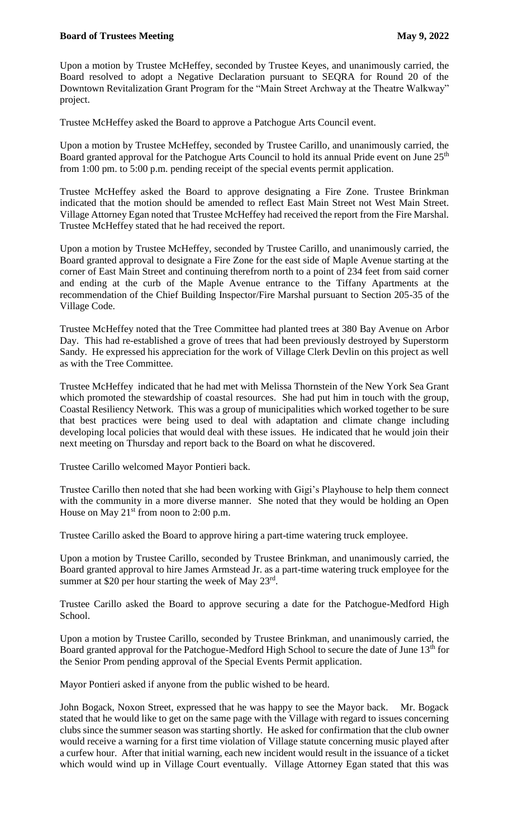Upon a motion by Trustee McHeffey, seconded by Trustee Keyes, and unanimously carried, the Board resolved to adopt a Negative Declaration pursuant to SEQRA for Round 20 of the Downtown Revitalization Grant Program for the "Main Street Archway at the Theatre Walkway" project.

Trustee McHeffey asked the Board to approve a Patchogue Arts Council event.

Upon a motion by Trustee McHeffey, seconded by Trustee Carillo, and unanimously carried, the Board granted approval for the Patchogue Arts Council to hold its annual Pride event on June 25<sup>th</sup> from 1:00 pm. to 5:00 p.m. pending receipt of the special events permit application.

Trustee McHeffey asked the Board to approve designating a Fire Zone. Trustee Brinkman indicated that the motion should be amended to reflect East Main Street not West Main Street. Village Attorney Egan noted that Trustee McHeffey had received the report from the Fire Marshal. Trustee McHeffey stated that he had received the report.

Upon a motion by Trustee McHeffey, seconded by Trustee Carillo, and unanimously carried, the Board granted approval to designate a Fire Zone for the east side of Maple Avenue starting at the corner of East Main Street and continuing therefrom north to a point of 234 feet from said corner and ending at the curb of the Maple Avenue entrance to the Tiffany Apartments at the recommendation of the Chief Building Inspector/Fire Marshal pursuant to Section 205-35 of the Village Code.

Trustee McHeffey noted that the Tree Committee had planted trees at 380 Bay Avenue on Arbor Day. This had re-established a grove of trees that had been previously destroyed by Superstorm Sandy. He expressed his appreciation for the work of Village Clerk Devlin on this project as well as with the Tree Committee.

Trustee McHeffey indicated that he had met with Melissa Thornstein of the New York Sea Grant which promoted the stewardship of coastal resources. She had put him in touch with the group, Coastal Resiliency Network. This was a group of municipalities which worked together to be sure that best practices were being used to deal with adaptation and climate change including developing local policies that would deal with these issues. He indicated that he would join their next meeting on Thursday and report back to the Board on what he discovered.

Trustee Carillo welcomed Mayor Pontieri back.

Trustee Carillo then noted that she had been working with Gigi's Playhouse to help them connect with the community in a more diverse manner. She noted that they would be holding an Open House on May  $21^{st}$  from noon to 2:00 p.m.

Trustee Carillo asked the Board to approve hiring a part-time watering truck employee.

Upon a motion by Trustee Carillo, seconded by Trustee Brinkman, and unanimously carried, the Board granted approval to hire James Armstead Jr. as a part-time watering truck employee for the summer at \$20 per hour starting the week of May 23rd.

Trustee Carillo asked the Board to approve securing a date for the Patchogue-Medford High School.

Upon a motion by Trustee Carillo, seconded by Trustee Brinkman, and unanimously carried, the Board granted approval for the Patchogue-Medford High School to secure the date of June 13th for the Senior Prom pending approval of the Special Events Permit application.

Mayor Pontieri asked if anyone from the public wished to be heard.

John Bogack, Noxon Street, expressed that he was happy to see the Mayor back. Mr. Bogack stated that he would like to get on the same page with the Village with regard to issues concerning clubs since the summer season was starting shortly. He asked for confirmation that the club owner would receive a warning for a first time violation of Village statute concerning music played after a curfew hour. After that initial warning, each new incident would result in the issuance of a ticket which would wind up in Village Court eventually. Village Attorney Egan stated that this was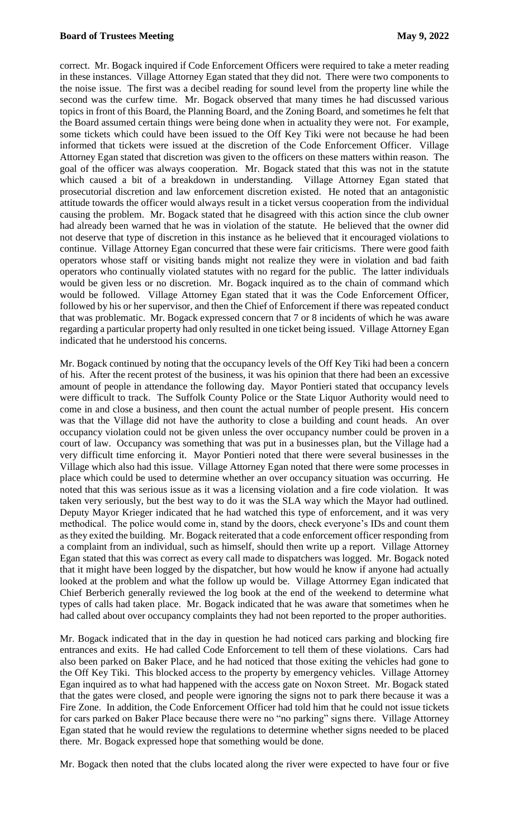correct. Mr. Bogack inquired if Code Enforcement Officers were required to take a meter reading in these instances. Village Attorney Egan stated that they did not. There were two components to the noise issue. The first was a decibel reading for sound level from the property line while the second was the curfew time. Mr. Bogack observed that many times he had discussed various topics in front of this Board, the Planning Board, and the Zoning Board, and sometimes he felt that the Board assumed certain things were being done when in actuality they were not. For example, some tickets which could have been issued to the Off Key Tiki were not because he had been informed that tickets were issued at the discretion of the Code Enforcement Officer. Village Attorney Egan stated that discretion was given to the officers on these matters within reason. The goal of the officer was always cooperation. Mr. Bogack stated that this was not in the statute which caused a bit of a breakdown in understanding. Village Attorney Egan stated that prosecutorial discretion and law enforcement discretion existed. He noted that an antagonistic attitude towards the officer would always result in a ticket versus cooperation from the individual causing the problem. Mr. Bogack stated that he disagreed with this action since the club owner had already been warned that he was in violation of the statute. He believed that the owner did not deserve that type of discretion in this instance as he believed that it encouraged violations to continue. Village Attorney Egan concurred that these were fair criticisms. There were good faith operators whose staff or visiting bands might not realize they were in violation and bad faith operators who continually violated statutes with no regard for the public. The latter individuals would be given less or no discretion. Mr. Bogack inquired as to the chain of command which would be followed. Village Attorney Egan stated that it was the Code Enforcement Officer, followed by his or her supervisor, and then the Chief of Enforcement if there was repeated conduct that was problematic. Mr. Bogack expressed concern that 7 or 8 incidents of which he was aware regarding a particular property had only resulted in one ticket being issued. Village Attorney Egan indicated that he understood his concerns.

Mr. Bogack continued by noting that the occupancy levels of the Off Key Tiki had been a concern of his. After the recent protest of the business, it was his opinion that there had been an excessive amount of people in attendance the following day. Mayor Pontieri stated that occupancy levels were difficult to track. The Suffolk County Police or the State Liquor Authority would need to come in and close a business, and then count the actual number of people present. His concern was that the Village did not have the authority to close a building and count heads. An over occupancy violation could not be given unless the over occupancy number could be proven in a court of law. Occupancy was something that was put in a businesses plan, but the Village had a very difficult time enforcing it. Mayor Pontieri noted that there were several businesses in the Village which also had this issue. Village Attorney Egan noted that there were some processes in place which could be used to determine whether an over occupancy situation was occurring. He noted that this was serious issue as it was a licensing violation and a fire code violation. It was taken very seriously, but the best way to do it was the SLA way which the Mayor had outlined. Deputy Mayor Krieger indicated that he had watched this type of enforcement, and it was very methodical. The police would come in, stand by the doors, check everyone's IDs and count them as they exited the building. Mr. Bogack reiterated that a code enforcement officer responding from a complaint from an individual, such as himself, should then write up a report. Village Attorney Egan stated that this was correct as every call made to dispatchers was logged. Mr. Bogack noted that it might have been logged by the dispatcher, but how would he know if anyone had actually looked at the problem and what the follow up would be. Village Attorrney Egan indicated that Chief Berberich generally reviewed the log book at the end of the weekend to determine what types of calls had taken place. Mr. Bogack indicated that he was aware that sometimes when he had called about over occupancy complaints they had not been reported to the proper authorities.

Mr. Bogack indicated that in the day in question he had noticed cars parking and blocking fire entrances and exits. He had called Code Enforcement to tell them of these violations. Cars had also been parked on Baker Place, and he had noticed that those exiting the vehicles had gone to the Off Key Tiki. This blocked access to the property by emergency vehicles. Village Attorney Egan inquired as to what had happened with the access gate on Noxon Street. Mr. Bogack stated that the gates were closed, and people were ignoring the signs not to park there because it was a Fire Zone. In addition, the Code Enforcement Officer had told him that he could not issue tickets for cars parked on Baker Place because there were no "no parking" signs there. Village Attorney Egan stated that he would review the regulations to determine whether signs needed to be placed there. Mr. Bogack expressed hope that something would be done.

Mr. Bogack then noted that the clubs located along the river were expected to have four or five